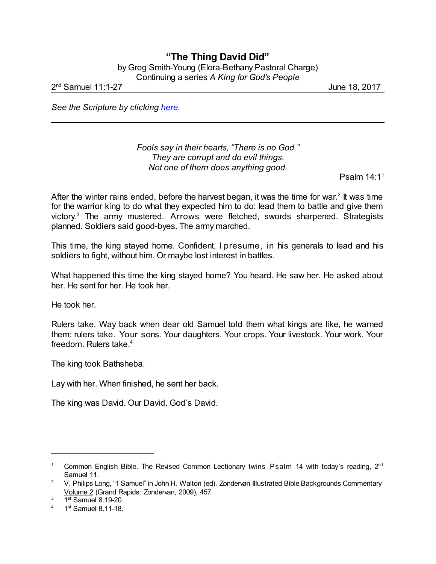## **"The Thing David Did"** by Greg Smith-Young (Elora-Bethany Pastoral Charge) Continuing a series *A King for God's People*

2 nd Samuel 11:1-27 June 18, 2017

*See the Scripture by clicking [here](https://www.biblegateway.com/passage/?search=2+Samuel+11&version=NIV).*

*Fools say in their hearts, "There is no God." They are corrupt and do evil things. Not one of them does anything good.*

Psalm 14:1 1

After the winter rains ended, before the harvest began, it was the time for war.<sup>2</sup> It was time for the warrior king to do what they expected him to do: lead them to battle and give them victory. <sup>3</sup> The army mustered. Arrows were fletched, swords sharpened. Strategists planned. Soldiers said good-byes. The army marched.

This time, the king stayed home. Confident, I presume, in his generals to lead and his soldiers to fight, without him. Or maybe lost interest in battles.

What happened this time the king stayed home? You heard. He saw her. He asked about her. He sent for her. He took her.

He took her.

Rulers take. Way back when dear old Samuel told them what kings are like, he warned them: rulers take. Your sons. Your daughters. Your crops. Your livestock. Your work. Your freedom. Rulers take.<sup>4</sup>

The king took Bathsheba.

Lay with her. When finished, he sent her back.

The king was David. Our David. God's David.

<sup>&</sup>lt;sup>1</sup> Common English Bible. The Revised Common Lectionary twins Psalm 14 with today's reading, 2<sup>nd</sup> Samuel 11.

<sup>&</sup>lt;sup>2</sup> V. Philips Long, "1 Samuel" in John H. Walton (ed), Zondervan Illustrated Bible Backgrounds Commentary Volume 2 (Grand Rapids: Zondervan, 2009), 457.

 $3$  1st Samuel 8.19-20.

 $4$  1<sup>st</sup> Samuel 8.11-18.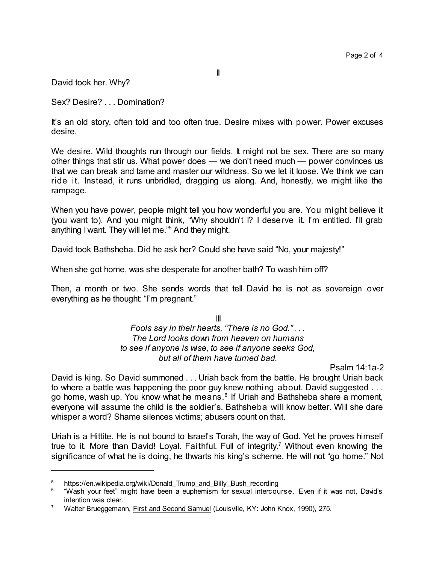II

David took her. Why?

Sex? Desire? . . . Domination?

It's an old story, often told and too often true. Desire mixes with power. Power excuses desire.

We desire. Wild thoughts run through our fields. It might not be sex. There are so many other things that stir us. What power does — we don't need much — power convinces us that we can break and tame and master our wildness. So we let it loose. We think we can ride it. Instead, it runs unbridled, dragging us along. And, honestly, we might like the rampage.

When you have power, people might tell you how wonderful you are. You might believe it (you want to). And you might think, "Why shouldn't I? I deserve it. I'm entitled. I'll grab anything I want. They will let me." <sup>5</sup> And they might.

David took Bathsheba. Did he ask her? Could she have said "No, your majesty!"

When she got home, was she desperate for another bath? To wash him off?

Then, a month or two. She sends words that tell David he is not as sovereign over everything as he thought: "I'm pregnant."

> III *Fools say in their hearts, "There is no God." . . . The Lord looks down from heaven on humans to see if anyone is wise, to see if anyone seeks God, but all of them have turned bad.*

Psalm 14:1a-2

David is king. So David summoned . . . Uriah back from the battle. He brought Uriah back to where a battle was happening the poor guy knew nothing about. David suggested . . . go home, wash up. You know what he means. 6 If Uriah and Bathsheba share a moment, everyone will assume the child is the soldier's. Bathsheba will know better. Will she dare whisper a word? Shame silences victims; abusers count on that.

Uriah is a Hittite. He is not bound to Israel's Torah, the way of God. Yet he proves himself true to it. More than David! Loyal. Faithful. Full of integrity. <sup>7</sup> Without even knowing the significance of what he is doing, he thwarts his king's scheme. He will not "go home." Not

https://en.wikipedia.org/wiki/Donald Trump\_and\_Billy\_Bush\_recording

<sup>6</sup> "Wash your feet" might have been a euphemism for sexual intercourse. Even if it was not, David's intention was clear.

<sup>&</sup>lt;sup>7</sup> Walter Brueggemann, First and Second Samuel (Louisville, KY: John Knox, 1990), 275.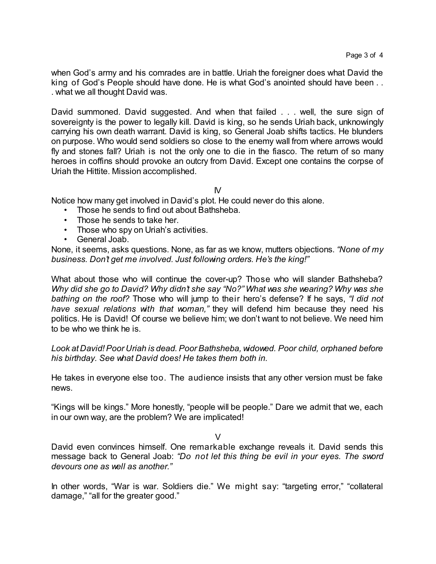when God's army and his comrades are in battle. Uriah the foreigner does what David the king of God's People should have done. He is what God's anointed should have been . . . what we all thought David was.

David summoned. David suggested. And when that failed . . . well, the sure sign of sovereignty is the power to legally kill. David is king, so he sends Uriah back, unknowingly carrying his own death warrant. David is king, so General Joab shifts tactics. He blunders on purpose. Who would send soldiers so close to the enemy wall from where arrows would fly and stones fall? Uriah is not the only one to die in the fiasco. The return of so many heroes in coffins should provoke an outcry from David. Except one contains the corpse of Uriah the Hittite. Mission accomplished.

IV

Notice how many get involved in David's plot. He could never do this alone.

- Those he sends to find out about Bathsheba.
- Those he sends to take her.
- Those who spy on Uriah's activities.
- General Joab.

None, it seems, asks questions. None, as far as we know, mutters objections. *"None of my business. Don't get me involved. Just following orders. He's the king!"*

What about those who will continue the cover-up? Those who will slander Bathsheba? *Why did she go to David? Why didn't she say "No?" What was she wearing? Why was she bathing on the roof?* Those who will jump to their hero's defense? If he says, *"I did not have sexual relations with that woman,"* they will defend him because they need his politics. He is David! Of course we believe him; we don't want to not believe. We need him to be who we think he is.

*Look at David!Poor Uriah is dead. Poor Bathsheba, widowed. Poor child, orphaned before his birthday. See what David does! He takes them both in.*

He takes in everyone else too. The audience insists that any other version must be fake news.

"Kings will be kings." More honestly, "people will be people." Dare we admit that we, each in our own way, are the problem? We are implicated!

 $\overline{V}$ 

David even convinces himself. One remarkable exchange reveals it. David sends this message back to General Joab: *"Do not let this thing be evil in your eyes. The sword devours one as well as another."*

In other words, "War is war. Soldiers die." We might say: "targeting error," "collateral damage," "all for the greater good."